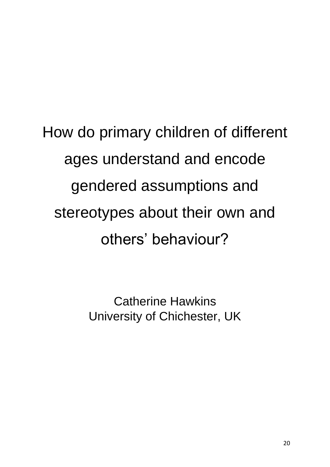# How do primary children of different ages understand and encode gendered assumptions and stereotypes about their own and others' behaviour?

Catherine Hawkins University of Chichester, UK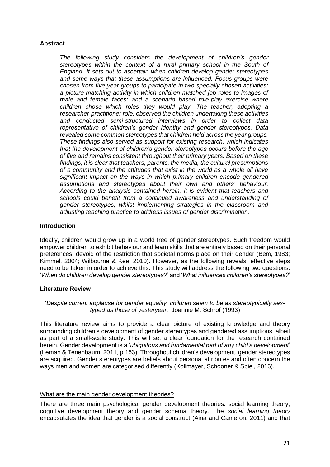## **Abstract**

*The following study considers the development of children's gender stereotypes within the context of a rural primary school in the South of England. It sets out to ascertain when children develop gender stereotypes and some ways that these assumptions are influenced. Focus groups were chosen from five year groups to participate in two specially chosen activities: a picture-matching activity in which children matched job roles to images of male and female faces; and a scenario based role-play exercise where children chose which roles they would play. The teacher, adopting a researcher-practitioner role, observed the children undertaking these activities and conducted semi-structured interviews in order to collect data representative of children's gender identity and gender stereotypes. Data revealed some common stereotypes that children held across the year groups. These findings also served as support for existing research, which indicates that the development of children's gender stereotypes occurs before the age of five and remains consistent throughout their primary years. Based on these findings, it is clear that teachers, parents, the media, the cultural presumptions of a community and the attitudes that exist in the world as a whole all have significant impact on the ways in which primary children encode gendered assumptions and stereotypes about their own and others' behaviour. According to the analysis contained herein, it is evident that teachers and schools could benefit from a continued awareness and understanding of gender stereotypes, whilst implementing strategies in the classroom and adjusting teaching practice to address issues of gender discrimination.* 

## **Introduction**

Ideally, children would grow up in a world free of gender stereotypes. Such freedom would empower children to exhibit behaviour and learn skills that are entirely based on their personal preferences, devoid of the restriction that societal norms place on their gender (Bem, 1983; Kimmel, 2004; Wilbourne & Kee, 2010). However, as the following reveals, effective steps need to be taken in order to achieve this. This study will address the following two questions: '*When do children develop gender stereotypes?*' and '*What influences children's stereotypes?*'

## **Literature Review**

'*Despite current applause for gender equality, children seem to be as stereotypically sextyped as those of yesteryear.*' Joannie M. Schrof (1993)

This literature review aims to provide a clear picture of existing knowledge and theory surrounding children's development of gender stereotypes and gendered assumptions, albeit as part of a small-scale study. This will set a clear foundation for the research contained herein. Gender development is a '*ubiquitous and fundamental part of any child's development*' (Leman & Tenenbaum, 2011, p.153). Throughout children's development, gender stereotypes are acquired. Gender stereotypes are beliefs about personal attributes and often concern the ways men and women are categorised differently (Kollmayer, Schooner & Spiel, 2016).

## What are the main gender development theories?

There are three main psychological gender development theories: social learning theory, cognitive development theory and gender schema theory. The *social learning theory*  encapsulates the idea that gender is a social construct (Aina and Cameron, 2011) and that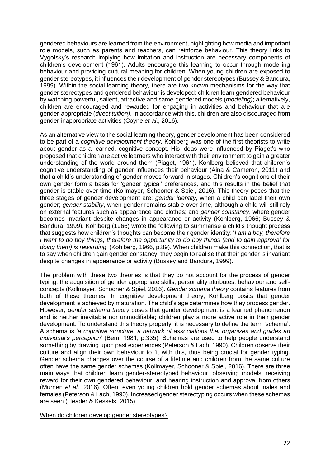gendered behaviours are learned from the environment, highlighting how media and important role models, such as parents and teachers, can reinforce behaviour. This theory links to Vygotsky's research implying how imitation and instruction are necessary components of children's development (1961). Adults encourage this learning to occur through modelling behaviour and providing cultural meaning for children. When young children are exposed to gender stereotypes, it influences their development of gender stereotypes (Bussey & Bandura, 1999). Within the social learning theory, there are two known mechanisms for the way that gender stereotypes and gendered behaviour is developed: children learn gendered behaviour by watching powerful, salient, attractive and same-gendered models (*modeling)*; alternatively, children are encouraged and rewarded for engaging in activities and behaviour that are gender-appropriate (*direct tuition)*. In accordance with this, children are also discouraged from gender-inappropriate activities (Coyne *et al*., 2016).

As an alternative view to the social learning theory, gender development has been considered to be part of a *cognitive development theory*. Kohlberg was one of the first theorists to write about gender as a learned, cognitive concept. His ideas were influenced by Piaget's who proposed that children are active learners who interact with their environment to gain a greater understanding of the world around them (Piaget, 1961). Kohlberg believed that children's cognitive understanding of gender influences their behaviour (Aina & Cameron, 2011) and that a child's understanding of gender moves forward in stages. Children's cognitions of their own gender form a basis for 'gender typical' preferences, and this results in the belief that gender is stable over time (Kollmayer, Schooner & Spiel, 2016). This theory poses that the three stages of gender development are: *gender identity*, when a child can label their own gender; *gender stability*, when gender remains stable over time, although a child will still rely on external features such as appearance and clothes; and *gender constancy*, where gender becomes invariant despite changes in appearance or activity (Kohlberg, 1966; Bussey & Bandura, 1999). Kohlberg (1966) wrote the following to summarise a child's thought process that suggests how children's thoughts can become their gender identity: '*I am a boy, therefore I want to do boy things, therefore the opportunity to do boy things (and to gain approval for doing them) is rewarding*' (Kohlberg, 1966, p.89). When children make this connection, that is to say when children gain gender constancy, they begin to realise that their gender is invariant despite changes in appearance or activity (Bussey and Bandura, 1999).

The problem with these two theories is that they do not account for the process of gender typing: the acquisition of gender appropriate skills, personality attributes, behaviour and selfconcepts (Kollmayer, Schooner & Spiel, 2016). *Gender schema theory* contains features from both of these theories. In cognitive development theory, Kohlberg posits that gender development is achieved by maturation. The child's age determines how they process gender. However, *gender schema theory* poses that gender development is a learned phenomenon and is neither inevitable nor unmodifiable; children play a more active role in their gender development. To understand this theory properly, it is necessary to define the term 'schema'. A schema is '*a cognitive structure, a network of associations that organizes and guides an individual's perception*' (Bem, 1981, p.335). Schemas are used to help people understand something by drawing upon past experiences (Peterson & Lach, 1990). Children observe their culture and align their own behaviour to fit with this, thus being crucial for gender typing. Gender schema changes over the course of a lifetime and children from the same culture often have the same gender schemas (Kollmayer, Schooner & Spiel, 2016). There are three main ways that children learn gender-stereotyped behaviour: observing models; receiving reward for their own gendered behaviour; and hearing instruction and approval from others (Murnen *et al*., 2016). Often, even young children hold gender schemas about males and females (Peterson & Lach, 1990). Increased gender stereotyping occurs when these schemas are seen (Header & Kessels, 2015).

When do children develop gender stereotypes?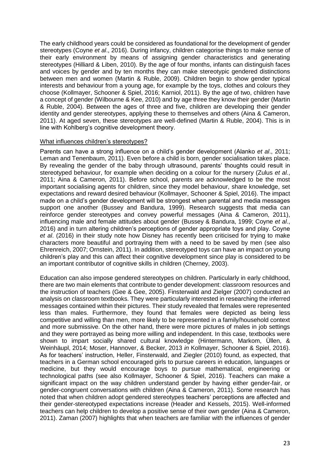The early childhood years could be considered as foundational for the development of gender stereotypes (Coyne *et al*., 2016). During infancy, children categorise things to make sense of their early environment by means of assigning gender characteristics and generating stereotypes (Hilliard & Liben, 2010). By the age of four months, infants can distinguish faces and voices by gender and by ten months they can make stereotypic gendered distinctions between men and women (Martin & Ruble, 2009). Children begin to show gender typical interests and behaviour from a young age, for example by the toys, clothes and colours they choose (Kollmayer, Schooner & Spiel, 2016; Karniol, 2011). By the age of two, children have a concept of gender (Wilbourne & Kee, 2010) and by age three they know their gender (Martin & Ruble, 2004). Between the ages of three and five, children are developing their gender identity and gender stereotypes, applying these to themselves and others (Aina & Cameron, 2011). At aged seven, these stereotypes are well-defined (Martin & Ruble, 2004). This is in line with Kohlberg's cognitive development theory.

#### What influences children's stereotypes?

Parents can have a strong influence on a child's gender development (Alanko *et al*., 2011; Leman and Tenenbaum, 2011). Even before a child is born, gender socialisation takes place. By revealing the gender of the baby through ultrasound, parents' thoughts could result in stereotyped behaviour, for example when deciding on a colour for the nursery (Zulus *et al.*, 2011; Aina & Cameron, 2011). Before school, parents are acknowledged to be the most important socialising agents for children, since they model behaviour, share knowledge, set expectations and reward desired behaviour (Kollmayer, Schooner & Spiel, 2016). The impact made on a child's gender development will be strongest when parental and media messages support one another (Bussey and Bandura, 1999). Research suggests that media can reinforce gender stereotypes and convey powerful messages (Aina & Cameron, 2011), influencing male and female attitudes about gender (Bussey & Bandura, 1999; Coyne *et al*., 2016) and in turn altering children's perceptions of gender appropriate toys and play. Coyne *et al*. (2016) in their study note how Disney has recently been criticised for trying to make characters more beautiful and portraying them with a need to be saved by men (see also Ehrenreich, 2007; Ornstein, 2011). In addition, stereotyped toys can have an impact on young children's play and this can affect their cognitive development since play is considered to be an important contributor of cognitive skills in children (Cherney, 2003).

Education can also impose gendered stereotypes on children. Particularly in early childhood, there are two main elements that contribute to gender development: classroom resources and the instruction of teachers (Gee & Gee, 2005). Finsterwald and Zielger (2007) conducted an analysis on classroom textbooks. They were particularly interested in researching the inferred messages contained within their pictures. Their study revealed that females were represented less than males. Furthermore, they found that females were depicted as being less competitive and willing than men, more likely to be represented in a family/household context and more submissive. On the other hand, there were more pictures of males in job settings and they were portrayed as being more willing and independent. In this case, textbooks were shown to impart socially shared cultural knowledge (Hintermann, Markom, Üllen, & Weinhäupl, 2014; Moser, Hannover, & Becker, 2013 *in* Kollmayer, Schooner & Spiel, 2016). As for teachers' instruction, Heller, Finsterwald, and Ziegler (2010) found, as expected, that teachers in a German school encouraged girls to pursue careers in education, languages or medicine, but they would encourage boys to pursue mathematical, engineering or technological paths (see also Kollmayer, Schooner & Spiel, 2016). Teachers can make a significant impact on the way children understand gender by having either gender-fair, or gender-congruent conversations with children (Aina & Cameron, 2011). Some research has noted that when children adopt gendered stereotypes teachers' perceptions are affected and their gender-stereotyped expectations increase (Header and Kessels, 2015). Well-informed teachers can help children to develop a positive sense of their own gender (Aina & Cameron, 2011). Zaman (2007) highlights that when teachers are familiar with the influences of gender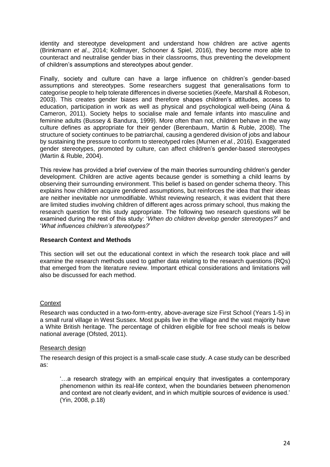identity and stereotype development and understand how children are active agents (Brinkmann *et al*., 2014; Kollmayer, Schooner & Spiel, 2016), they become more able to counteract and neutralise gender bias in their classrooms, thus preventing the development of children's assumptions and stereotypes about gender.

Finally, society and culture can have a large influence on children's gender-based assumptions and stereotypes. Some researchers suggest that generalisations form to categorise people to help tolerate differences in diverse societies (Keefe, Marshall & Robeson, 2003). This creates gender biases and therefore shapes children's attitudes, access to education, participation in work as well as physical and psychological well-being (Aina & Cameron, 2011). Society helps to socialise male and female infants into masculine and feminine adults (Bussey & Bandura, 1999). More often than not, children behave in the way culture defines as appropriate for their gender (Berenbaum, Martin & Ruble, 2008). The structure of society continues to be patriarchal, causing a gendered division of jobs and labour by sustaining the pressure to conform to stereotyped roles (Murnen *et al.*, 2016). Exaggerated gender stereotypes, promoted by culture, can affect children's gender-based stereotypes (Martin & Ruble, 2004).

This review has provided a brief overview of the main theories surrounding children's gender development. Children are active agents because gender is something a child learns by observing their surrounding environment. This belief is based on gender schema theory. This explains how children acquire gendered assumptions, but reinforces the idea that their ideas are neither inevitable nor unmodifiable. Whilst reviewing research, it was evident that there are limited studies involving children of different ages across primary school, thus making the research question for this study appropriate. The following two research questions will be examined during the rest of this study: '*When do children develop gender stereotypes?*' and '*What influences children's stereotypes?*'

## **Research Context and Methods**

This section will set out the educational context in which the research took place and will examine the research methods used to gather data relating to the research questions (RQs) that emerged from the literature review. Important ethical considerations and limitations will also be discussed for each method.

# **Context**

Research was conducted in a two-form-entry, above-average size First School (Years 1-5) in a small rural village in West Sussex. Most pupils live in the village and the vast majority have a White British heritage. The percentage of children eligible for free school meals is below national average (Ofsted, 2011).

## Research design

The research design of this project is a small-scale case study. A case study can be described as:

'…a research strategy with an empirical enquiry that investigates a contemporary phenomenon within its real-life context, when the boundaries between phenomenon and context are not clearly evident, and in which multiple sources of evidence is used.' (Yin, 2008, p.18)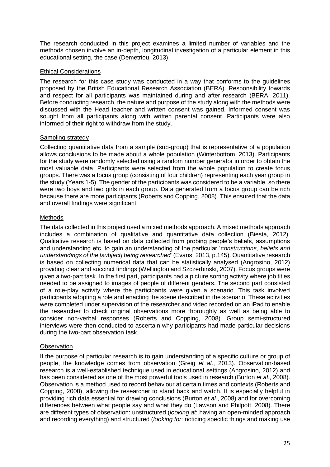The research conducted in this project examines a limited number of variables and the methods chosen involve an in-depth, longitudinal investigation of a particular element in this educational setting, the case (Demetriou, 2013).

# Ethical Considerations

The research for this case study was conducted in a way that conforms to the guidelines proposed by the British Educational Research Association (BERA). Responsibility towards and respect for all participants was maintained during and after research (BERA, 2011). Before conducting research, the nature and purpose of the study along with the methods were discussed with the Head teacher and written consent was gained. Informed consent was sought from all participants along with written parental consent. Participants were also informed of their right to withdraw from the study.

# Sampling strategy

Collecting quantitative data from a sample (sub-group) that is representative of a population allows conclusions to be made about a whole population (Winterbottom, 2013). Participants for the study were randomly selected using a random number generator in order to obtain the most valuable data. Participants were selected from the whole population to create focus groups. There was a focus group (consisting of four children) representing each year group in the study (Years 1-5). The gender of the participants was considered to be a variable, so there were two boys and two girls in each group. Data generated from a focus group can be rich because there are more participants (Roberts and Copping, 2008). This ensured that the data and overall findings were significant.

# Methods

The data collected in this project used a mixed methods approach. A mixed methods approach includes a combination of qualitative and quantitative data collection (Biesta, 2012). Qualitative research is based on data collected from probing people's beliefs, assumptions and understanding etc. to gain an understanding of the particular '*constructions, beliefs and understandings of the [subject] being researched'* (Evans, 2013, p.145). Quantitative research is based on collecting numerical data that can be statistically analysed (Angrosino, 2012) providing clear and succinct findings (Wellington and Szczerbinski, 2007). Focus groups were given a two-part task. In the first part, participants had a picture sorting activity where job titles needed to be assigned to images of people of different genders. The second part consisted of a role-play activity where the participants were given a scenario. This task involved participants adopting a role and enacting the scene described in the scenario. These activities were completed under supervision of the researcher and video recorded on an iPad to enable the researcher to check original observations more thoroughly as well as being able to consider non-verbal responses (Roberts and Copping, 2008). Group semi-structured interviews were then conducted to ascertain why participants had made particular decisions during the two-part observation task.

# **Observation**

If the purpose of particular research is to gain understanding of a specific culture or group of people, the knowledge comes from observation (Greig *et al*., 2013). Observation-based research is a well-established technique used in educational settings (Angrosino, 2012) and has been considered as one of the most powerful tools used in research (Burton *et al*., 2008). Observation is a method used to record behaviour at certain times and contexts (Roberts and Copping, 2008), allowing the researcher to stand back and watch. It is especially helpful in providing rich data essential for drawing conclusions (Burton *et al.*, 2008) and for overcoming differences between what people say and what they do (Lawson and Philpott, 2008). There are different types of observation: unstructured (*looking at*: having an open-minded approach and recording everything) and structured (*looking for*: noticing specific things and making use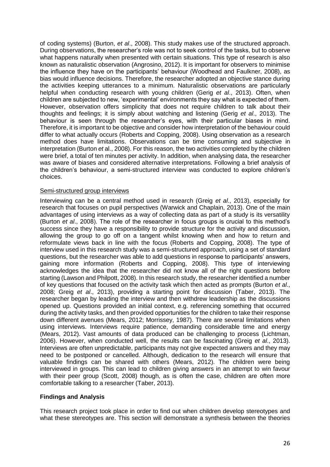of coding systems) (Burton, *et al*., 2008). This study makes use of the structured approach. During observations, the researcher's role was not to seek control of the tasks, but to observe what happens naturally when presented with certain situations. This type of research is also known as naturalistic observation (Angrosino, 2012). It is important for observers to minimise the influence they have on the participants' behaviour (Woodhead and Faulkner, 2008), as bias would influence decisions. Therefore, the researcher adopted an objective stance during the activities keeping utterances to a minimum. Naturalistic observations are particularly helpful when conducting research with young children (Gerig *et al*., 2013). Often, when children are subjected to new, 'experimental' environments they say what is expected of them. However, observation offers simplicity that does not require children to talk about their thoughts and feelings; it is simply about watching and listening (Gerig *et al*., 2013). The behaviour is seen through the researcher's eyes, with their particular biases in mind. Therefore, it is important to be objective and consider how interpretation of the behaviour could differ to what actually occurs (Roberts and Copping, 2008). Using observation as a research method does have limitations. Observations can be time consuming and subjective in interpretation (Burton *et* al., 2008). For this reason, the two activities completed by the children were brief, a total of ten minutes per activity. In addition, when analysing data, the researcher was aware of biases and considered alternative interpretations. Following a brief analysis of the children's behaviour, a semi-structured interview was conducted to explore children's choices.

#### Semi-structured group interviews

Interviewing can be a central method used in research (Greig *et al*., 2013), especially for research that focuses on pupil perspectives (Warwick and Chaplain, 2013). One of the main advantages of using interviews as a way of collecting data as part of a study is its versatility (Burton *et al*., 2008). The role of the researcher in focus groups is crucial to this method's success since they have a responsibility to provide structure for the activity and discussion, allowing the group to go off on a tangent whilst knowing when and how to return and reformulate views back in line with the focus (Roberts and Copping, 2008). The type of interview used in this research study was a semi-structured approach, using a set of standard questions, but the researcher was able to add questions in response to participants' answers, gaining more information (Roberts and Copping, 2008). This type of interviewing acknowledges the idea that the researcher did not know all of the right questions before starting (Lawson and Philpott, 2008). In this research study, the researcher identified a number of key questions that focused on the activity task which then acted as prompts (Burton *et al*., 2008; Greig *et al*., 2013), providing a starting point for discussion (Taber, 2013). The researcher began by leading the interview and then withdrew leadership as the discussions opened up. Questions provided an initial context, e.g. referencing something that occurred during the activity tasks, and then provided opportunities for the children to take their response down different avenues (Mears, 2012; Morrissey, 1987). There are several limitations when using interviews. Interviews require patience, demanding considerable time and energy (Mears, 2012). Vast amounts of data produced can be challenging to process (Lichtman, 2006). However, when conducted well, the results can be fascinating (Greig *et al*., 2013). Interviews are often unpredictable, participants may not give expected answers and they may need to be postponed or cancelled. Although, dedication to the research will ensure that valuable findings can be shared with others (Mears, 2012). The children were being interviewed in groups. This can lead to children giving answers in an attempt to win favour with their peer group (Scott, 2008) though, as is often the case, children are often more comfortable talking to a researcher (Taber, 2013).

## **Findings and Analysis**

This research project took place in order to find out when children develop stereotypes and what these stereotypes are. This section will demonstrate a synthesis between the theories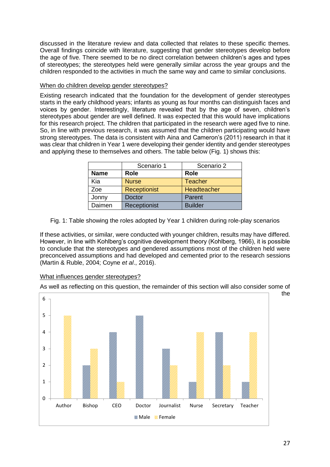discussed in the literature review and data collected that relates to these specific themes. Overall findings coincide with literature, suggesting that gender stereotypes develop before the age of five. There seemed to be no direct correlation between children's ages and types of stereotypes; the stereotypes held were generally similar across the year groups and the children responded to the activities in much the same way and came to similar conclusions.

# When do children develop gender stereotypes?

Existing research indicated that the foundation for the development of gender stereotypes starts in the early childhood years; infants as young as four months can distinguish faces and voices by gender. Interestingly, literature revealed that by the age of seven, children's stereotypes about gender are well defined. It was expected that this would have implications for this research project. The children that participated in the research were aged five to nine. So, in line with previous research, it was assumed that the children participating would have strong stereotypes. The data is consistent with Aina and Cameron's (2011) research in that it was clear that children in Year 1 were developing their gender identity and gender stereotypes and applying these to themselves and others. The table below (Fig. 1) shows this:

|             | Scenario 1          | Scenario 2     |  |  |
|-------------|---------------------|----------------|--|--|
| <b>Name</b> | Role                | <b>Role</b>    |  |  |
| Kia         | <b>Nurse</b>        | Teacher        |  |  |
| Zoe         | <b>Receptionist</b> | Headteacher    |  |  |
| Jonny       | <b>Doctor</b>       | Parent         |  |  |
| Daimen      | Receptionist        | <b>Builder</b> |  |  |

Fig. 1: Table showing the roles adopted by Year 1 children during role-play scenarios

If these activities, or similar, were conducted with younger children, results may have differed. However, in line with Kohlberg's cognitive development theory (Kohlberg, 1966), it is possible to conclude that the stereotypes and gendered assumptions most of the children held were preconceived assumptions and had developed and cemented prior to the research sessions (Martin & Ruble, 2004; Coyne *et al*., 2016).

## What influences gender stereotypes?

As well as reflecting on this question, the remainder of this section will also consider some of

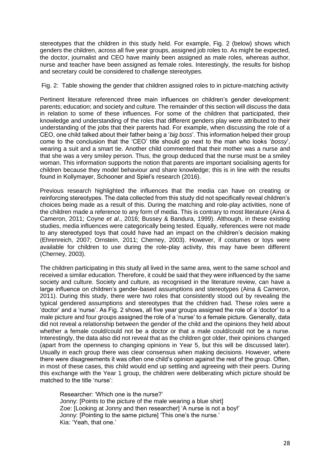stereotypes that the children in this study held. For example, Fig. 2 (below) shows which genders the children, across all five year groups, assigned job roles to. As might be expected, the doctor, journalist and CEO have mainly been assigned as male roles, whereas author, nurse and teacher have been assigned as female roles. Interestingly, the results for bishop and secretary could be considered to challenge stereotypes.

#### Fig. 2: Table showing the gender that children assigned roles to in picture-matching activity

Pertinent literature referenced three main influences on children's gender development: parents; education; and society and culture. The remainder of this section will discuss the data in relation to some of these influences. For some of the children that participated, their knowledge and understanding of the roles that different genders play were attributed to their understanding of the jobs that their parents had. For example, when discussing the role of a CEO, one child talked about their father being a '*big boss*'. This information helped their group come to the conclusion that the 'CEO' title should go next to the man who looks '*bossy*', wearing a suit and a smart tie. Another child commented that their mother was a nurse and that she was a very smiley person. Thus, the group deduced that the nurse must be a smiley woman. This information supports the notion that parents are important socialising agents for children because they model behaviour and share knowledge; this is in line with the results found in Kollymayer, Schooner and Spiel's research (2016).

Previous research highlighted the influences that the media can have on creating or reinforcing stereotypes. The data collected from this study did not specifically reveal children's choices being made as a result of this. During the matching and role-play activities, none of the children made a reference to any form of media. This is contrary to most literature (Aina & Cameron, 2011; Coyne *et al*., 2016; Bussey & Bandura, 1999). Although, in these existing studies, media influences were categorically being tested. Equally, references were not made to any stereotyped toys that could have had an impact on the children's decision making (Ehrenreich, 2007; Ornstein, 2011; Cherney, 2003). However, if costumes or toys were available for children to use during the role-play activity, this may have been different (Cherney, 2003).

The children participating in this study all lived in the same area, went to the same school and received a similar education. Therefore, it could be said that they were influenced by the same society and culture. Society and culture, as recognised in the literature review, can have a large influence on children's gender-based assumptions and stereotypes (Aina & Cameron, 2011). During this study, there were two roles that consistently stood out by revealing the typical gendered assumptions and stereotypes that the children had. These roles were a 'doctor' and a 'nurse'. As Fig. 2 shows, all five year groups assigned the role of a 'doctor' to a male picture and four groups assigned the role of a 'nurse' to a female picture. Generally, data did not reveal a relationship between the gender of the child and the opinions they held about whether a female could/could not be a doctor or that a male could/could not be a nurse. Interestingly, the data also did not reveal that as the children got older, their opinions changed (apart from the openness to changing opinions in Year 5, but this will be discussed later). Usually in each group there was clear consensus when making decisions. However, where there were disagreements it was often one child's opinion against the rest of the group. Often, in most of these cases, this child would end up settling and agreeing with their peers. During this exchange with the Year 1 group, the children were deliberating which picture should be matched to the title 'nurse':

Researcher: 'Which one is the nurse?' Jonny: [Points to the picture of the male wearing a blue shirt] Zoe: [Looking at Jonny and then researcher] 'A nurse is not a boy!' Jonny: [Pointing to the same picture] 'This one's the nurse.' Kia: 'Yeah, that one.'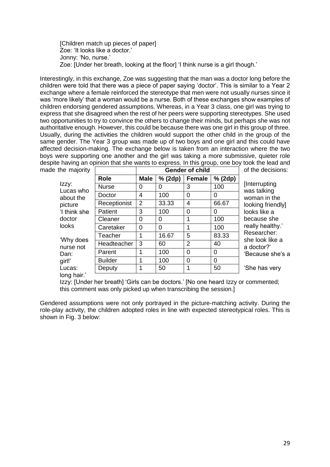[Children match up pieces of paper] Zoe: 'It looks like a doctor.' Jonny: 'No, nurse.' Zoe: [Under her breath, looking at the floor] 'I think nurse is a girl though.'

Interestingly, in this exchange, Zoe was suggesting that the man was a doctor long before the children were told that there was a piece of paper saying 'doctor'. This is similar to a Year 2 exchange where a female reinforced the stereotype that men were not usually nurses since it was 'more likely' that a woman would be a nurse. Both of these exchanges show examples of children endorsing gendered assumptions. Whereas, in a Year 3 class, one girl was trying to express that she disagreed when the rest of her peers were supporting stereotypes. She used two opportunities to try to convince the others to change their minds, but perhaps she was not authoritative enough. However, this could be because there was one girl in this group of three. Usually, during the activities the children would support the other child in the group of the same gender. The Year 3 group was made up of two boys and one girl and this could have affected decision-making. The exchange below is taken from an interaction where the two boys were supporting one another and the girl was taking a more submissive, quieter role despite having an opinion that she wants to express. In this group, one boy took the lead and made the majority the decisions:

| he majority                                                                   |                | <b>Gender of child</b> |          |               |          | of the decision                                                                                                                                                                     |  |
|-------------------------------------------------------------------------------|----------------|------------------------|----------|---------------|----------|-------------------------------------------------------------------------------------------------------------------------------------------------------------------------------------|--|
| Izzy:<br>Lucas who<br>about the<br>picture<br>'I think she<br>doctor<br>looks | Role           | <b>Male</b>            | % (2dp)  | <b>Female</b> | % (2dp)  |                                                                                                                                                                                     |  |
|                                                                               | <b>Nurse</b>   | 0                      | O        | 3             | 100      | [Interrupting]<br>was talking<br>woman in the<br>looking friendl<br>looks like a<br>because she<br>really healthy.<br>Researcher:<br>she look like a<br>a doctor?'<br>'Because she' |  |
|                                                                               | Doctor         | 4                      | 100      | 0             | 0        |                                                                                                                                                                                     |  |
|                                                                               | Receptionist   | $\overline{2}$         | 33.33    | 4             | 66.67    |                                                                                                                                                                                     |  |
|                                                                               | Patient        | 3                      | 100      | 0             | 0        |                                                                                                                                                                                     |  |
|                                                                               | Cleaner        | 0                      | 0        | 1             | 100      |                                                                                                                                                                                     |  |
|                                                                               | Caretaker      | $\Omega$               | $\Omega$ | 1             | 100      |                                                                                                                                                                                     |  |
| 'Why does<br>nurse not<br>Dan:<br>girl!'                                      | Teacher        |                        | 16.67    | 5             | 83.33    |                                                                                                                                                                                     |  |
|                                                                               | Headteacher    | 3                      | 60       | 2             | 40       |                                                                                                                                                                                     |  |
|                                                                               | Parent         |                        | 100      | 0             | 0        |                                                                                                                                                                                     |  |
|                                                                               | <b>Builder</b> | 1                      | 100      | $\Omega$      | $\Omega$ |                                                                                                                                                                                     |  |
| Lucas:                                                                        | Deputy         |                        | 50       | 1             | 50       | 'She has very                                                                                                                                                                       |  |
| long hair.'                                                                   |                |                        |          |               |          |                                                                                                                                                                                     |  |

ing friendly] ly healthy.' earcher: look like a<br>
octor?'

 $a$ use she's a

Izzy: [Under her breath] 'Girls can be doctors.' [No one heard Izzy or commented; this comment was only picked up when transcribing the session.]

Gendered assumptions were not only portrayed in the picture-matching activity. During the role-play activity, the children adopted roles in line with expected stereotypical roles. This is shown in Fig. 3 below: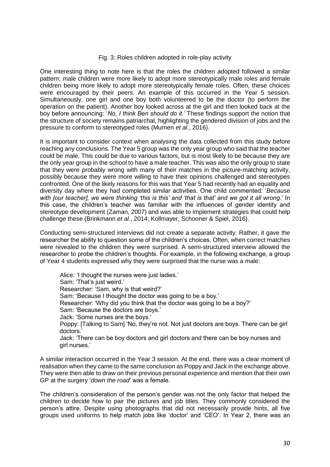#### Fig. 3: Roles children adopted in role-play activity

One interesting thing to note here is that the roles the children adopted followed a similar pattern; male children were more likely to adopt more stereotypically male roles and female children being more likely to adopt more stereotypically female roles. Often, these choices were encouraged by their peers. An example of this occurred in the Year 5 session. Simultaneously, one girl and one boy both volunteered to be the doctor (to perform the operation on the patient). Another boy looked across at the girl and then looked back at the boy before announcing: '*No, I think Ben should do it.'* These findings support the notion that the structure of society remains patriarchal, highlighting the gendered division of jobs and the pressure to conform to stereotyped roles (Murnen *et al*., 2016).

It is important to consider context when analysing the data collected from this study before reaching any conclusions. The Year 5 group was the only year group who said that the teacher could be male. This could be due to various factors, but is most likely to be because they are the only year group in the school to have a male teacher. This was also the only group to state that they were probably wrong with many of their matches in the picture-matching activity, possibly because they were more willing to have their opinions challenged and stereotypes confronted. One of the likely reasons for this was that Year 5 had recently had an equality and diversity day where they had completed similar activities. One child commented: '*Because with [our teacher], we were thinking 'this is this' and 'that is that' and we got it all wrong*.' In this case, the children's teacher was familiar with the influences of gender identity and stereotype development (Zaman, 2007) and was able to implement strategies that could help challenge these (Brinkmann *et al*., 2014; Kollmayer, Schooner & Spiel, 2016).

Conducting semi-structured interviews did not create a separate activity. Rather, it gave the researcher the ability to question some of the children's choices. Often, when correct matches were revealed to the children they were surprised. A semi-structured interview allowed the researcher to probe the children's thoughts. For example, in the following exchange, a group of Year 4 students expressed why they were surprised that the nurse was a male:

Alice: 'I thought the nurses were just ladies.' Sam: 'That's just weird.' Researcher: 'Sam, why is that weird?' Sam: 'Because I thought the doctor was going to be a boy.' Researcher: 'Why did you think that the doctor was going to be a boy?' Sam: 'Because the doctors are boys.' Jack: 'Some nurses are the boys.' Poppy: [Talking to Sam] 'No, they're not. Not just doctors are boys. There can be girl doctors.' Jack: 'There can be boy doctors and girl doctors and there can be boy nurses and girl nurses.'

A similar interaction occurred in the Year 3 session. At the end, there was a clear moment of realisation when they came to the same conclusion as Poppy and Jack in the exchange above. They were then able to draw on their previous personal experience and mention that their own GP at the surgery '*down the road*' was a female.

The children's consideration of the person's gender was not the only factor that helped the children to decide how to pair the pictures and job titles. They commonly considered the person's attire. Despite using photographs that did not necessarily provide hints, all five groups used uniforms to help match jobs like 'doctor' and 'CEO'. In Year 2, there was an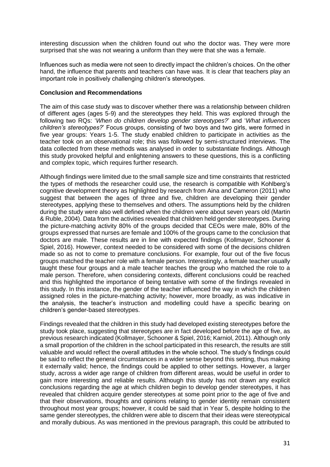interesting discussion when the children found out who the doctor was. They were more surprised that she was not wearing a uniform than they were that she was a female.

Influences such as media were not seen to directly impact the children's choices. On the other hand, the influence that parents and teachers can have was. It is clear that teachers play an important role in positively challenging children's stereotypes.

#### **Conclusion and Recommendations**

The aim of this case study was to discover whether there was a relationship between children of different ages (ages 5-9) and the stereotypes they held. This was explored through the following two RQs: '*When do children develop gender stereotypes?*' and '*What influences children's stereotypes?*' Focus groups, consisting of two boys and two girls, were formed in five year groups: Years 1-5. The study enabled children to participate in activities as the teacher took on an observational role; this was followed by semi-structured interviews. The data collected from these methods was analysed in order to substantiate findings. Although this study provoked helpful and enlightening answers to these questions, this is a conflicting and complex topic, which requires further research.

Although findings were limited due to the small sample size and time constraints that restricted the types of methods the researcher could use, the research is compatible with Kohlberg's cognitive development theory as highlighted by research from Aina and Cameron (2011) who suggest that between the ages of three and five, children are developing their gender stereotypes, applying these to themselves and others. The assumptions held by the children during the study were also well defined when the children were about seven years old (Martin & Ruble, 2004). Data from the activities revealed that children held gender stereotypes. During the picture-matching activity 80% of the groups decided that CEOs were male, 80% of the groups expressed that nurses are female and 100% of the groups came to the conclusion that doctors are male. These results are in line with expected findings (Kollmayer, Schooner & Spiel, 2016). However, context needed to be considered with some of the decisions children made so as not to come to premature conclusions. For example, four out of the five focus groups matched the teacher role with a female person. Interestingly, a female teacher usually taught these four groups and a male teacher teaches the group who matched the role to a male person. Therefore, when considering contexts, different conclusions could be reached and this highlighted the importance of being tentative with some of the findings revealed in this study. In this instance, the gender of the teacher influenced the way in which the children assigned roles in the picture-matching activity; however, more broadly, as was indicative in the analysis, the teacher's instruction and modelling could have a specific bearing on children's gender-based stereotypes.

Findings revealed that the children in this study had developed existing stereotypes before the study took place, suggesting that stereotypes are in fact developed before the age of five, as previous research indicated (Kollmayer, Schooner & Spiel, 2016; Karniol, 2011). Although only a small proportion of the children in the school participated in this research, the results are still valuable and would reflect the overall attitudes in the whole school. The study's findings could be said to reflect the general circumstances in a wider sense beyond this setting, thus making it externally valid; hence, the findings could be applied to other settings. However, a larger study, across a wider age range of children from different areas, would be useful in order to gain more interesting and reliable results. Although this study has not drawn any explicit conclusions regarding the age at which children begin to develop gender stereotypes, it has revealed that children acquire gender stereotypes at some point prior to the age of five and that their observations, thoughts and opinions relating to gender identity remain consistent throughout most year groups; however, it could be said that in Year 5, despite holding to the same gender stereotypes, the children were able to discern that their ideas were stereotypical and morally dubious. As was mentioned in the previous paragraph, this could be attributed to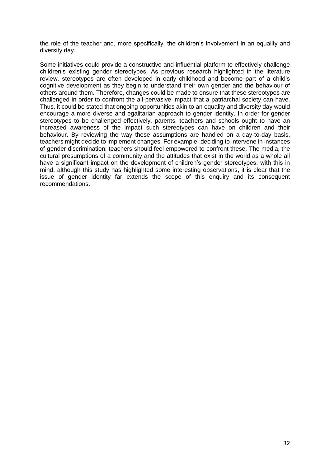the role of the teacher and, more specifically, the children's involvement in an equality and diversity day.

Some initiatives could provide a constructive and influential platform to effectively challenge children's existing gender stereotypes. As previous research highlighted in the literature review, stereotypes are often developed in early childhood and become part of a child's cognitive development as they begin to understand their own gender and the behaviour of others around them. Therefore, changes could be made to ensure that these stereotypes are challenged in order to confront the all-pervasive impact that a patriarchal society can have. Thus, it could be stated that ongoing opportunities akin to an equality and diversity day would encourage a more diverse and egalitarian approach to gender identity. In order for gender stereotypes to be challenged effectively, parents, teachers and schools ought to have an increased awareness of the impact such stereotypes can have on children and their behaviour. By reviewing the way these assumptions are handled on a day-to-day basis, teachers might decide to implement changes. For example, deciding to intervene in instances of gender discrimination; teachers should feel empowered to confront these. The media, the cultural presumptions of a community and the attitudes that exist in the world as a whole all have a significant impact on the development of children's gender stereotypes; with this in mind, although this study has highlighted some interesting observations, it is clear that the issue of gender identity far extends the scope of this enquiry and its consequent recommendations.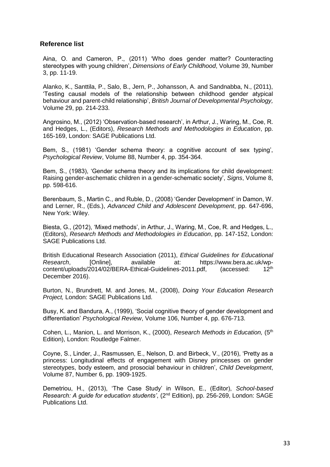# **Reference list**

Aina, O. and Cameron, P., (2011) 'Who does gender matter? Counteracting stereotypes with young children', *Dimensions of Early Childhood*, Volume 39, Number 3, pp. 11-19.

Alanko, K., Santtila, P., Salo, B., Jern, P., Johansson, A. and Sandnabba, N., (2011), 'Testing causal models of the relationship between childhood gender atypical behaviour and parent-child relationship', *British Journal of Developmental Psychology,* Volume 29, pp. 214-233.

Angrosino, M., (2012) 'Observation-based research', in Arthur, J., Waring, M., Coe, R. and Hedges, L., (Editors), *Research Methods and Methodologies in Education*, pp. 165-169, London: SAGE Publications Ltd.

Bem, S., (1981) 'Gender schema theory: a cognitive account of sex typing', *Psychological Review*, Volume 88, Number 4, pp. 354-364.

Bem, S., (1983), 'Gender schema theory and its implications for child development: Raising gender-aschematic children in a gender-schematic society', *Signs*, Volume 8, pp. 598-616.

Berenbaum, S., Martin C., and Ruble, D., (2008) 'Gender Development' in Damon, W. and Lerner, R., (Eds.), *Advanced Child and Adolescent Development*, pp. 647-696, New York: Wiley.

Biesta, G., (2012), 'Mixed methods', in Arthur, J., Waring, M., Coe, R. and Hedges, L., (Editors), *Research Methods and Methodologies in Education*, pp. 147-152, London: SAGE Publications Ltd.

British Educational Research Association (2011), *Ethical Guidelines for Educational Research*, [Online], available at: https://www.bera.ac.uk/wpcontent/uploads/2014/02/BERA-Ethical-Guidelines-2011.pdf, (accessed: December 2016).

Burton, N., Brundrett, M. and Jones, M., (2008), *Doing Your Education Research Project,* London: SAGE Publications Ltd.

Busy, K. and Bandura, A., (1999), 'Social cognitive theory of gender development and differentiation' *Psychological Review*, Volume 106, Number 4, pp. 676-713.

Cohen, L., Manion, L. and Morrison, K., (2000), *Research Methods in Education*, (5<sup>th</sup> Edition), London: Routledge Falmer.

Coyne, S., Linder, J., Rasmussen, E., Nelson, D. and Birbeck, V., (2016), 'Pretty as a princess: Longitudinal effects of engagement with Disney princesses on gender stereotypes, body esteem, and prosocial behaviour in children', *Child Development*, Volume 87, Number 6, pp. 1909-1925.

Demetriou, H., (2013), 'The Case Study' in Wilson, E., (Editor), *School-based Research: A guide for education students', (2<sup>nd</sup> Edition), pp. 256-269, London: SAGE* Publications Ltd.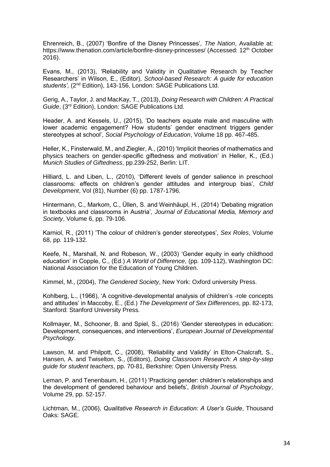Ehrenreich, B., (2007) 'Bonfire of the Disney Princesses'*, The Nation*, Available at: https://www.thenation.com/article/bonfire-disney-princesses/ (Accessed: 12<sup>th</sup> October 2016).

Evans, M., (2013), 'Reliability and Validity in Qualitative Research by Teacher Researchers' in Wilson, E., (Editor), *School-based Research: A guide for education students'*, (2nd Edition), 143-156, London: SAGE Publications Ltd.

Gerig, A., Taylor, J. and MacKay, T., (2013), *Doing Research with Children: A Practical Guide*, (3rd Edition), London: SAGE Publications Ltd.

Header, A. and Kessels, U., (2015), 'Do teachers equate male and masculine with lower academic engagement? How students' gender enactment triggers gender stereotypes at school', *Social Psychology of Education*, Volume 18 pp. 467-485.

Heller, K., Finsterwald, M., and Ziegler, A., (2010) 'Implicit theories of mathematics and physics teachers on gender-specific giftedness and motivation' in Heller, K., (Ed.) *Munich Studies of Giftedness*, pp.239-252, Berlin: LIT.

Hilliard, L. and Liben, L., (2010), 'Different levels of gender salience in preschool classrooms: effects on children's gender attitudes and intergroup bias', *Child Development*, Vol (81), Number (6) pp. 1787-1796.

Hintermann, C., Markom, C., Üllen, S. and Weinhäupl, H., (2014) 'Debating migration in textbooks and classrooms in Austria', *Journal of Educational Media, Memory and Society*, Volume 6, pp. 79-106.

Karniol, R., (2011) 'The colour of children's gender stereotypes', *Sex Roles*, Volume 68, pp. 119-132.

Keefe, N., Marshall, N. and Robeson, W., (2003) 'Gender equity in early childhood education' in Copple, C., (Ed.) *A World of Difference*, (pp. 109-112), Washington DC: National Association for the Education of Young Children.

Kimmel, M., (2004), *The Gendered Society*, New York: Oxford university Press.

Kohlberg, L., (1966), 'A cognitive-developmental analysis of children's -role concepts and attitudes' in Maccoby, E., (Ed.) *The Development of Sex Differences*, pp. 82-173, Stanford: Stanford University Press.

Kollmayer, M., Schooner, B. and Spiel, S., (2016) 'Gender stereotypes in education: Development, consequences, and interventions', *European Journal of Developmental Psychology*.

Lawson, M. and Philpott, C., (2008), 'Reliability and Validity' in Elton-Chalcraft, S., Hansen, A. and Twiselton, S., (Editors), *Doing Classroom Research: A step-by-step guide for student teachers*, pp. 70-81, Berkshire: Open University Press.

Leman, P. and Tenenbaum, H., (2011) 'Practicing gender: children's relationships and the development of gendered behaviour and beliefs', *British Journal of Psychology*, Volume 29, pp. 52-157.

Lichtman, M., (2006), *Qualitative Research in Education: A User's Guide*, Thousand Oaks: SAGE.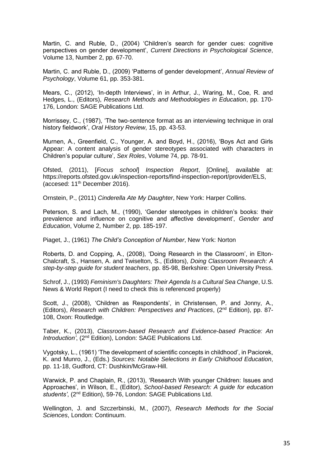Martin, C. and Ruble, D., (2004) 'Children's search for gender cues: cognitive perspectives on gender development', *Current Directions in Psychological Science*, Volume 13, Number 2, pp. 67-70.

Martin, C. and Ruble, D., (2009) 'Patterns of gender development', *Annual Review of Psychology*, Volume 61, pp. 353-381.

Mears, C., (2012), 'In-depth Interviews', in in Arthur, J., Waring, M., Coe, R. and Hedges, L., (Editors), *Research Methods and Methodologies in Education*, pp. 170- 176, London: SAGE Publications Ltd.

Morrissey, C., (1987), 'The two-sentence format as an interviewing technique in oral history fieldwork', *Oral History Review*, 15, pp. 43-53.

Murnen, A., Greenfield, C., Younger, A. and Boyd, H., (2016), 'Boys Act and Girls Appear: A content analysis of gender stereotypes associated with characters in Children's popular culture', *Sex Roles*, Volume 74, pp. 78-91.

Ofsted, (2011), [*Focus school*] *Inspection Report*, [Online], available at: https://reports.ofsted.gov.uk/inspection-reports/find-inspection-report/provider/ELS, (accesed: 11th December 2016).

Ornstein, P., (2011) *Cinderella Ate My Daughter*, New York: Harper Collins.

Peterson, S. and Lach, M., (1990), 'Gender stereotypes in children's books: their prevalence and influence on cognitive and affective development', *Gender and Education*, Volume 2, Number 2, pp. 185-197.

Piaget, J., (1961) *The Child's Conception of Number*, New York: Norton

Roberts, D. and Copping, A., (2008), 'Doing Research in the Classroom', in Elton-Chalcraft, S., Hansen, A. and Twiselton, S., (Editors), *Doing Classroom Research: A step-by-step guide for student teachers*, pp. 85-98, Berkshire: Open University Press.

Schrof, J., (1993) *Feminism's Daughters: Their Agenda Is a Cultural Sea Change*, U.S. News & World Report (I need to check this is referenced properly)

Scott, J., (2008), 'Children as Respondents', in Christensen, P. and Jonny, A., (Editors), *Research with Children: Perspectives and Practices*, (2nd Edition), pp. 87- 108, Oxon: Routledge.

Taber, K., (2013), *Classroom-based Research and Evidence-based Practice: An Introduction'*, (2nd Edition), London: SAGE Publications Ltd.

Vygotsky, L., (1961) 'The development of scientific concepts in childhood', in Paciorek, K. and Munro, J., (Eds.) *Sources: Notable Selections in Early Childhood Education*, pp. 11-18, Gudford, CT: Dushkin/McGraw-Hill.

Warwick, P. and Chaplain, R., (2013), 'Research With younger Children: Issues and Approaches', in Wilson, E., (Editor), *School-based Research: A guide for education students'*, (2nd Edition), 59-76, London: SAGE Publications Ltd.

Wellington, J. and Szczerbinski, M., (2007), *Research Methods for the Social Sciences*, London: Continuum.